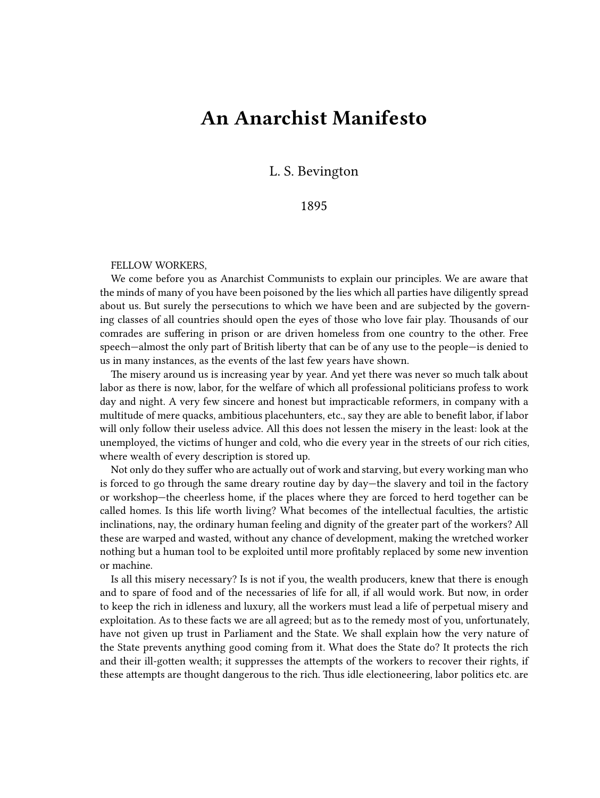## **An Anarchist Manifesto**

L. S. Bevington

1895

## FELLOW WORKERS,

We come before you as Anarchist Communists to explain our principles. We are aware that the minds of many of you have been poisoned by the lies which all parties have diligently spread about us. But surely the persecutions to which we have been and are subjected by the governing classes of all countries should open the eyes of those who love fair play. Thousands of our comrades are suffering in prison or are driven homeless from one country to the other. Free speech—almost the only part of British liberty that can be of any use to the people—is denied to us in many instances, as the events of the last few years have shown.

The misery around us is increasing year by year. And yet there was never so much talk about labor as there is now, labor, for the welfare of which all professional politicians profess to work day and night. A very few sincere and honest but impracticable reformers, in company with a multitude of mere quacks, ambitious placehunters, etc., say they are able to benefit labor, if labor will only follow their useless advice. All this does not lessen the misery in the least: look at the unemployed, the victims of hunger and cold, who die every year in the streets of our rich cities, where wealth of every description is stored up.

Not only do they suffer who are actually out of work and starving, but every working man who is forced to go through the same dreary routine day by day—the slavery and toil in the factory or workshop—the cheerless home, if the places where they are forced to herd together can be called homes. Is this life worth living? What becomes of the intellectual faculties, the artistic inclinations, nay, the ordinary human feeling and dignity of the greater part of the workers? All these are warped and wasted, without any chance of development, making the wretched worker nothing but a human tool to be exploited until more profitably replaced by some new invention or machine.

Is all this misery necessary? Is is not if you, the wealth producers, knew that there is enough and to spare of food and of the necessaries of life for all, if all would work. But now, in order to keep the rich in idleness and luxury, all the workers must lead a life of perpetual misery and exploitation. As to these facts we are all agreed; but as to the remedy most of you, unfortunately, have not given up trust in Parliament and the State. We shall explain how the very nature of the State prevents anything good coming from it. What does the State do? It protects the rich and their ill‐gotten wealth; it suppresses the attempts of the workers to recover their rights, if these attempts are thought dangerous to the rich. Thus idle electioneering, labor politics etc. are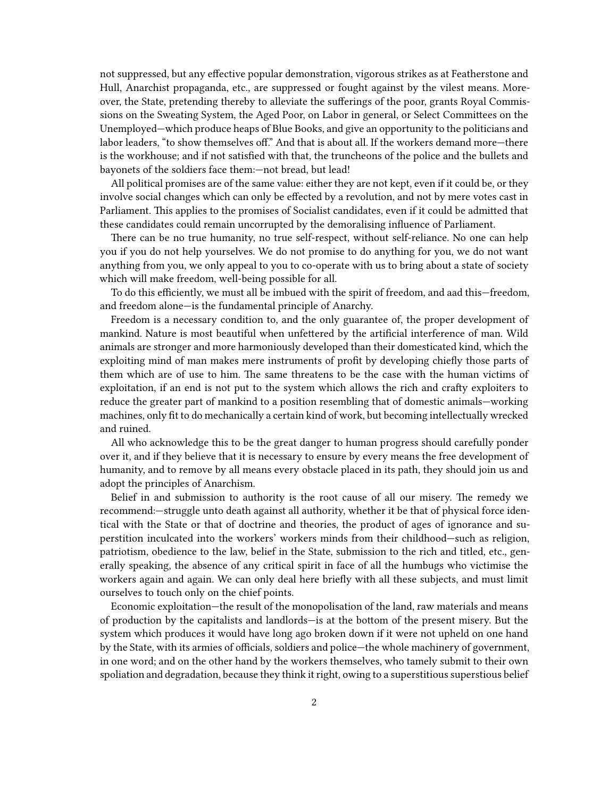not suppressed, but any effective popular demonstration, vigorous strikes as at Featherstone and Hull, Anarchist propaganda, etc., are suppressed or fought against by the vilest means. Moreover, the State, pretending thereby to alleviate the sufferings of the poor, grants Royal Commissions on the Sweating System, the Aged Poor, on Labor in general, or Select Committees on the Unemployed—which produce heaps of Blue Books, and give an opportunity to the politicians and labor leaders, "to show themselves off." And that is about all. If the workers demand more—there is the workhouse; and if not satisfied with that, the truncheons of the police and the bullets and bayonets of the soldiers face them:—not bread, but lead!

All political promises are of the same value: either they are not kept, even if it could be, or they involve social changes which can only be effected by a revolution, and not by mere votes cast in Parliament. This applies to the promises of Socialist candidates, even if it could be admitted that these candidates could remain uncorrupted by the demoralising influence of Parliament.

There can be no true humanity, no true self-respect, without self-reliance. No one can help you if you do not help yourselves. We do not promise to do anything for you, we do not want anything from you, we only appeal to you to co-operate with us to bring about a state of society which will make freedom, well-being possible for all.

To do this efficiently, we must all be imbued with the spirit of freedom, and aad this—freedom, and freedom alone—is the fundamental principle of Anarchy.

Freedom is a necessary condition to, and the only guarantee of, the proper development of mankind. Nature is most beautiful when unfettered by the artificial interference of man. Wild animals are stronger and more harmoniously developed than their domesticated kind, which the exploiting mind of man makes mere instruments of profit by developing chiefly those parts of them which are of use to him. The same threatens to be the case with the human victims of exploitation, if an end is not put to the system which allows the rich and crafty exploiters to reduce the greater part of mankind to a position resembling that of domestic animals—working machines, only fit to do mechanically a certain kind of work, but becoming intellectually wrecked and ruined.

All who acknowledge this to be the great danger to human progress should carefully ponder over it, and if they believe that it is necessary to ensure by every means the free development of humanity, and to remove by all means every obstacle placed in its path, they should join us and adopt the principles of Anarchism.

Belief in and submission to authority is the root cause of all our misery. The remedy we recommend:—struggle unto death against all authority, whether it be that of physical force identical with the State or that of doctrine and theories, the product of ages of ignorance and superstition inculcated into the workers' workers minds from their childhood—such as religion, patriotism, obedience to the law, belief in the State, submission to the rich and titled, etc., generally speaking, the absence of any critical spirit in face of all the humbugs who victimise the workers again and again. We can only deal here briefly with all these subjects, and must limit ourselves to touch only on the chief points.

Economic exploitation—the result of the monopolisation of the land, raw materials and means of production by the capitalists and landlords—is at the bottom of the present misery. But the system which produces it would have long ago broken down if it were not upheld on one hand by the State, with its armies of officials, soldiers and police—the whole machinery of government, in one word; and on the other hand by the workers themselves, who tamely submit to their own spoliation and degradation, because they think it right, owing to a superstitious superstious belief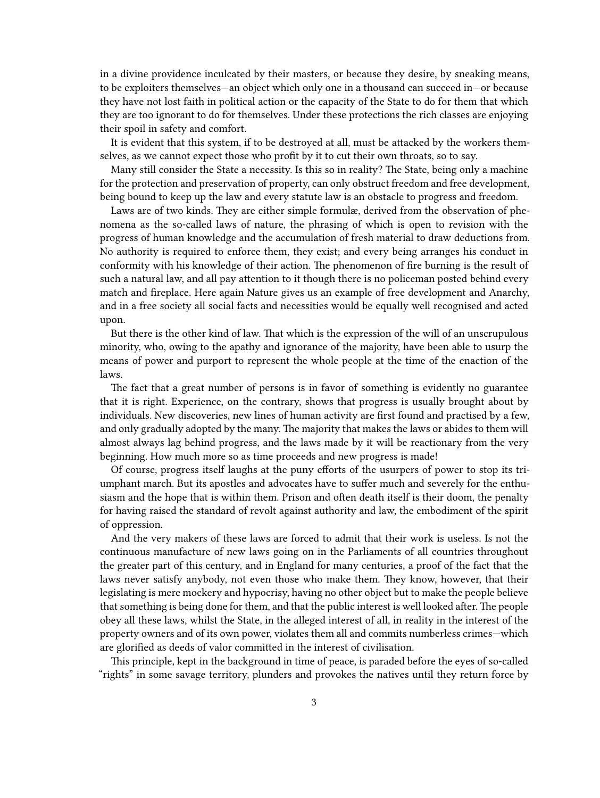in a divine providence inculcated by their masters, or because they desire, by sneaking means, to be exploiters themselves—an object which only one in a thousand can succeed in—or because they have not lost faith in political action or the capacity of the State to do for them that which they are too ignorant to do for themselves. Under these protections the rich classes are enjoying their spoil in safety and comfort.

It is evident that this system, if to be destroyed at all, must be attacked by the workers themselves, as we cannot expect those who profit by it to cut their own throats, so to say.

Many still consider the State a necessity. Is this so in reality? The State, being only a machine for the protection and preservation of property, can only obstruct freedom and free development, being bound to keep up the law and every statute law is an obstacle to progress and freedom.

Laws are of two kinds. They are either simple formulæ, derived from the observation of phenomena as the so-called laws of nature, the phrasing of which is open to revision with the progress of human knowledge and the accumulation of fresh material to draw deductions from. No authority is required to enforce them, they exist; and every being arranges his conduct in conformity with his knowledge of their action. The phenomenon of fire burning is the result of such a natural law, and all pay attention to it though there is no policeman posted behind every match and fireplace. Here again Nature gives us an example of free development and Anarchy, and in a free society all social facts and necessities would be equally well recognised and acted upon.

But there is the other kind of law. That which is the expression of the will of an unscrupulous minority, who, owing to the apathy and ignorance of the majority, have been able to usurp the means of power and purport to represent the whole people at the time of the enaction of the laws.

The fact that a great number of persons is in favor of something is evidently no guarantee that it is right. Experience, on the contrary, shows that progress is usually brought about by individuals. New discoveries, new lines of human activity are first found and practised by a few, and only gradually adopted by the many. The majority that makes the laws or abides to them will almost always lag behind progress, and the laws made by it will be reactionary from the very beginning. How much more so as time proceeds and new progress is made!

Of course, progress itself laughs at the puny efforts of the usurpers of power to stop its triumphant march. But its apostles and advocates have to suffer much and severely for the enthusiasm and the hope that is within them. Prison and often death itself is their doom, the penalty for having raised the standard of revolt against authority and law, the embodiment of the spirit of oppression.

And the very makers of these laws are forced to admit that their work is useless. Is not the continuous manufacture of new laws going on in the Parliaments of all countries throughout the greater part of this century, and in England for many centuries, a proof of the fact that the laws never satisfy anybody, not even those who make them. They know, however, that their legislating is mere mockery and hypocrisy, having no other object but to make the people believe that something is being done for them, and that the public interest is well looked after. The people obey all these laws, whilst the State, in the alleged interest of all, in reality in the interest of the property owners and of its own power, violates them all and commits numberless crimes—which are glorified as deeds of valor committed in the interest of civilisation.

This principle, kept in the background in time of peace, is paraded before the eyes of so-called "rights" in some savage territory, plunders and provokes the natives until they return force by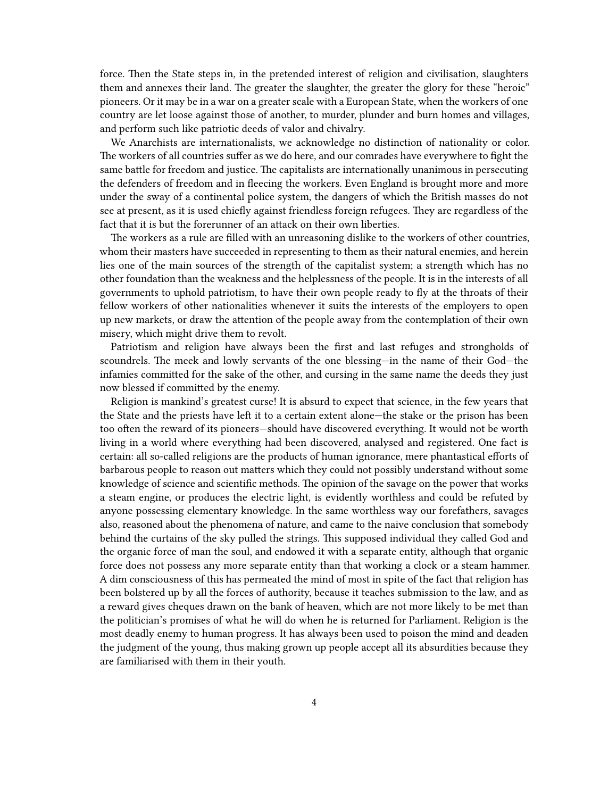force. Then the State steps in, in the pretended interest of religion and civilisation, slaughters them and annexes their land. The greater the slaughter, the greater the glory for these "heroic" pioneers. Or it may be in a war on a greater scale with a European State, when the workers of one country are let loose against those of another, to murder, plunder and burn homes and villages, and perform such like patriotic deeds of valor and chivalry.

We Anarchists are internationalists, we acknowledge no distinction of nationality or color. The workers of all countries suffer as we do here, and our comrades have everywhere to fight the same battle for freedom and justice. The capitalists are internationally unanimous in persecuting the defenders of freedom and in fleecing the workers. Even England is brought more and more under the sway of a continental police system, the dangers of which the British masses do not see at present, as it is used chiefly against friendless foreign refugees. They are regardless of the fact that it is but the forerunner of an attack on their own liberties.

The workers as a rule are filled with an unreasoning dislike to the workers of other countries, whom their masters have succeeded in representing to them as their natural enemies, and herein lies one of the main sources of the strength of the capitalist system; a strength which has no other foundation than the weakness and the helplessness of the people. It is in the interests of all governments to uphold patriotism, to have their own people ready to fly at the throats of their fellow workers of other nationalities whenever it suits the interests of the employers to open up new markets, or draw the attention of the people away from the contemplation of their own misery, which might drive them to revolt.

Patriotism and religion have always been the first and last refuges and strongholds of scoundrels. The meek and lowly servants of the one blessing—in the name of their God—the infamies committed for the sake of the other, and cursing in the same name the deeds they just now blessed if committed by the enemy.

Religion is mankind's greatest curse! It is absurd to expect that science, in the few years that the State and the priests have left it to a certain extent alone—the stake or the prison has been too often the reward of its pioneers—should have discovered everything. It would not be worth living in a world where everything had been discovered, analysed and registered. One fact is certain: all so-called religions are the products of human ignorance, mere phantastical efforts of barbarous people to reason out matters which they could not possibly understand without some knowledge of science and scientific methods. The opinion of the savage on the power that works a steam engine, or produces the electric light, is evidently worthless and could be refuted by anyone possessing elementary knowledge. In the same worthless way our forefathers, savages also, reasoned about the phenomena of nature, and came to the naive conclusion that somebody behind the curtains of the sky pulled the strings. This supposed individual they called God and the organic force of man the soul, and endowed it with a separate entity, although that organic force does not possess any more separate entity than that working a clock or a steam hammer. A dim consciousness of this has permeated the mind of most in spite of the fact that religion has been bolstered up by all the forces of authority, because it teaches submission to the law, and as a reward gives cheques drawn on the bank of heaven, which are not more likely to be met than the politician's promises of what he will do when he is returned for Parliament. Religion is the most deadly enemy to human progress. It has always been used to poison the mind and deaden the judgment of the young, thus making grown up people accept all its absurdities because they are familiarised with them in their youth.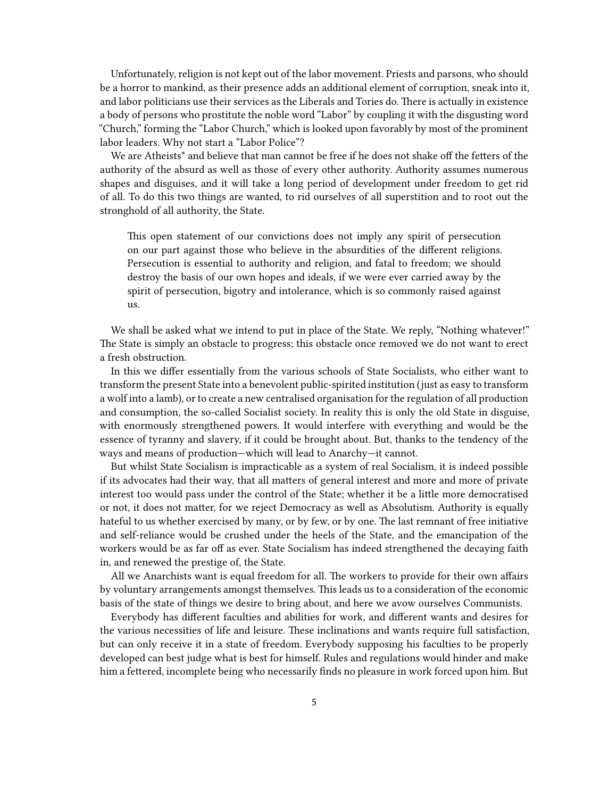Unfortunately, religion is not kept out of the labor movement. Priests and parsons, who should be a horror to mankind, as their presence adds an additional element of corruption, sneak into it, and labor politicians use their services as the Liberals and Tories do. There is actually in existence a body of persons who prostitute the noble word "Labor" by coupling it with the disgusting word "Church," forming the "Labor Church," which is looked upon favorably by most of the prominent labor leaders. Why not start a "Labor Police"?

We are Atheists<sup>\*</sup> and believe that man cannot be free if he does not shake off the fetters of the authority of the absurd as well as those of every other authority. Authority assumes numerous shapes and disguises, and it will take a long period of development under freedom to get rid of all. To do this two things are wanted, to rid ourselves of all superstition and to root out the stronghold of all authority, the State.

This open statement of our convictions does not imply any spirit of persecution on our part against those who believe in the absurdities of the different religions. Persecution is essential to authority and religion, and fatal to freedom; we should destroy the basis of our own hopes and ideals, if we were ever carried away by the spirit of persecution, bigotry and intolerance, which is so commonly raised against us.

We shall be asked what we intend to put in place of the State. We reply, "Nothing whatever!" The State is simply an obstacle to progress; this obstacle once removed we do not want to erect a fresh obstruction.

In this we differ essentially from the various schools of State Socialists, who either want to transform the present State into a benevolent public‐spirited institution (just as easy to transform a wolf into a lamb), or to create a new centralised organisation for the regulation of all production and consumption, the so-called Socialist society. In reality this is only the old State in disguise, with enormously strengthened powers. It would interfere with everything and would be the essence of tyranny and slavery, if it could be brought about. But, thanks to the tendency of the ways and means of production—which will lead to Anarchy—it cannot.

But whilst State Socialism is impracticable as a system of real Socialism, it is indeed possible if its advocates had their way, that all matters of general interest and more and more of private interest too would pass under the control of the State; whether it be a little more democratised or not, it does not matter, for we reject Democracy as well as Absolutism. Authority is equally hateful to us whether exercised by many, or by few, or by one. The last remnant of free initiative and self‐reliance would be crushed under the heels of the State, and the emancipation of the workers would be as far off as ever. State Socialism has indeed strengthened the decaying faith in, and renewed the prestige of, the State.

All we Anarchists want is equal freedom for all. The workers to provide for their own affairs by voluntary arrangements amongst themselves. This leads us to a consideration of the economic basis of the state of things we desire to bring about, and here we avow ourselves Communists.

Everybody has different faculties and abilities for work, and different wants and desires for the various necessities of life and leisure. These inclinations and wants require full satisfaction, but can only receive it in a state of freedom. Everybody supposing his faculties to be properly developed can best judge what is best for himself. Rules and regulations would hinder and make him a fettered, incomplete being who necessarily finds no pleasure in work forced upon him. But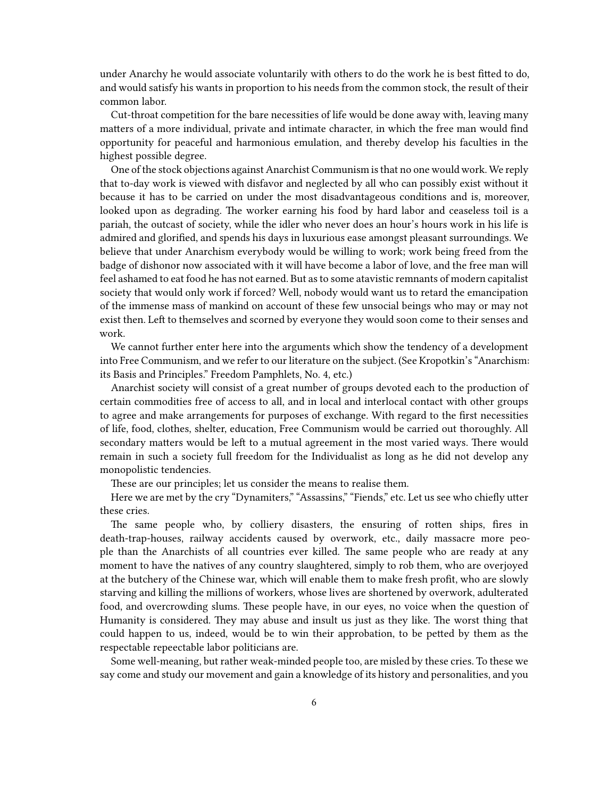under Anarchy he would associate voluntarily with others to do the work he is best fitted to do, and would satisfy his wants in proportion to his needs from the common stock, the result of their common labor.

Cut-throat competition for the bare necessities of life would be done away with, leaving many matters of a more individual, private and intimate character, in which the free man would find opportunity for peaceful and harmonious emulation, and thereby develop his faculties in the highest possible degree.

One of the stock objections against Anarchist Communism is that no one would work. We reply that to-day work is viewed with disfavor and neglected by all who can possibly exist without it because it has to be carried on under the most disadvantageous conditions and is, moreover, looked upon as degrading. The worker earning his food by hard labor and ceaseless toil is a pariah, the outcast of society, while the idler who never does an hour's hours work in his life is admired and glorified, and spends his days in luxurious ease amongst pleasant surroundings. We believe that under Anarchism everybody would be willing to work; work being freed from the badge of dishonor now associated with it will have become a labor of love, and the free man will feel ashamed to eat food he has not earned. But as to some atavistic remnants of modern capitalist society that would only work if forced? Well, nobody would want us to retard the emancipation of the immense mass of mankind on account of these few unsocial beings who may or may not exist then. Left to themselves and scorned by everyone they would soon come to their senses and work.

We cannot further enter here into the arguments which show the tendency of a development into Free Communism, and we refer to our literature on the subject. (See Kropotkin's "Anarchism: its Basis and Principles." Freedom Pamphlets, No. 4, etc.)

Anarchist society will consist of a great number of groups devoted each to the production of certain commodities free of access to all, and in local and interlocal contact with other groups to agree and make arrangements for purposes of exchange. With regard to the first necessities of life, food, clothes, shelter, education, Free Communism would be carried out thoroughly. All secondary matters would be left to a mutual agreement in the most varied ways. There would remain in such a society full freedom for the Individualist as long as he did not develop any monopolistic tendencies.

These are our principles; let us consider the means to realise them.

Here we are met by the cry "Dynamiters," "Assassins," "Fiends," etc. Let us see who chiefly utter these cries.

The same people who, by colliery disasters, the ensuring of rotten ships, fires in death‐trap‐houses, railway accidents caused by overwork, etc., daily massacre more people than the Anarchists of all countries ever killed. The same people who are ready at any moment to have the natives of any country slaughtered, simply to rob them, who are overjoyed at the butchery of the Chinese war, which will enable them to make fresh profit, who are slowly starving and killing the millions of workers, whose lives are shortened by overwork, adulterated food, and overcrowding slums. These people have, in our eyes, no voice when the question of Humanity is considered. They may abuse and insult us just as they like. The worst thing that could happen to us, indeed, would be to win their approbation, to be petted by them as the respectable repeectable labor politicians are.

Some well-meaning, but rather weak-minded people too, are misled by these cries. To these we say come and study our movement and gain a knowledge of its history and personalities, and you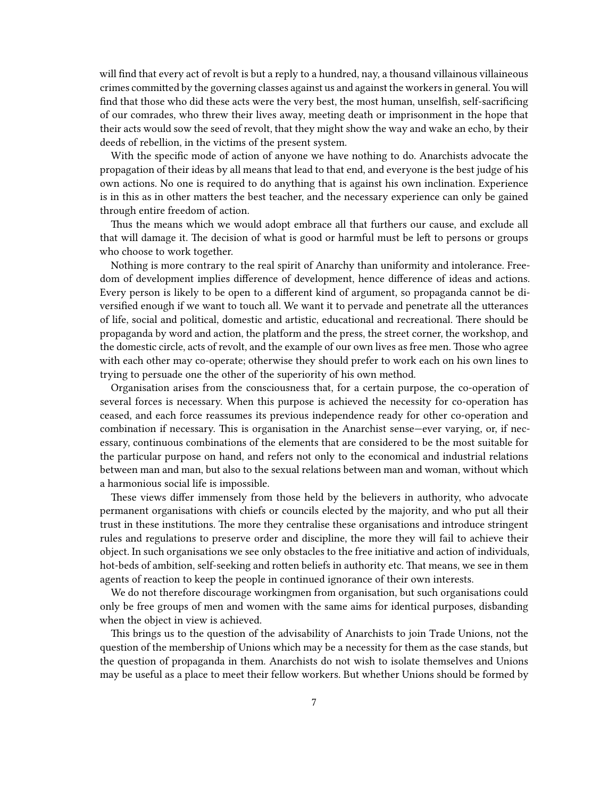will find that every act of revolt is but a reply to a hundred, nay, a thousand villainous villaineous crimes committed by the governing classes against us and against the workers in general. You will find that those who did these acts were the very best, the most human, unselfish, self-sacrificing of our comrades, who threw their lives away, meeting death or imprisonment in the hope that their acts would sow the seed of revolt, that they might show the way and wake an echo, by their deeds of rebellion, in the victims of the present system.

With the specific mode of action of anyone we have nothing to do. Anarchists advocate the propagation of their ideas by all means that lead to that end, and everyone is the best judge of his own actions. No one is required to do anything that is against his own inclination. Experience is in this as in other matters the best teacher, and the necessary experience can only be gained through entire freedom of action.

Thus the means which we would adopt embrace all that furthers our cause, and exclude all that will damage it. The decision of what is good or harmful must be left to persons or groups who choose to work together.

Nothing is more contrary to the real spirit of Anarchy than uniformity and intolerance. Freedom of development implies difference of development, hence difference of ideas and actions. Every person is likely to be open to a different kind of argument, so propaganda cannot be diversified enough if we want to touch all. We want it to pervade and penetrate all the utterances of life, social and political, domestic and artistic, educational and recreational. There should be propaganda by word and action, the platform and the press, the street corner, the workshop, and the domestic circle, acts of revolt, and the example of our own lives as free men. Those who agree with each other may co-operate; otherwise they should prefer to work each on his own lines to trying to persuade one the other of the superiority of his own method.

Organisation arises from the consciousness that, for a certain purpose, the co‐operation of several forces is necessary. When this purpose is achieved the necessity for co-operation has ceased, and each force reassumes its previous independence ready for other co‐operation and combination if necessary. This is organisation in the Anarchist sense—ever varying, or, if necessary, continuous combinations of the elements that are considered to be the most suitable for the particular purpose on hand, and refers not only to the economical and industrial relations between man and man, but also to the sexual relations between man and woman, without which a harmonious social life is impossible.

These views differ immensely from those held by the believers in authority, who advocate permanent organisations with chiefs or councils elected by the majority, and who put all their trust in these institutions. The more they centralise these organisations and introduce stringent rules and regulations to preserve order and discipline, the more they will fail to achieve their object. In such organisations we see only obstacles to the free initiative and action of individuals, hot-beds of ambition, self-seeking and rotten beliefs in authority etc. That means, we see in them agents of reaction to keep the people in continued ignorance of their own interests.

We do not therefore discourage workingmen from organisation, but such organisations could only be free groups of men and women with the same aims for identical purposes, disbanding when the object in view is achieved.

This brings us to the question of the advisability of Anarchists to join Trade Unions, not the question of the membership of Unions which may be a necessity for them as the case stands, but the question of propaganda in them. Anarchists do not wish to isolate themselves and Unions may be useful as a place to meet their fellow workers. But whether Unions should be formed by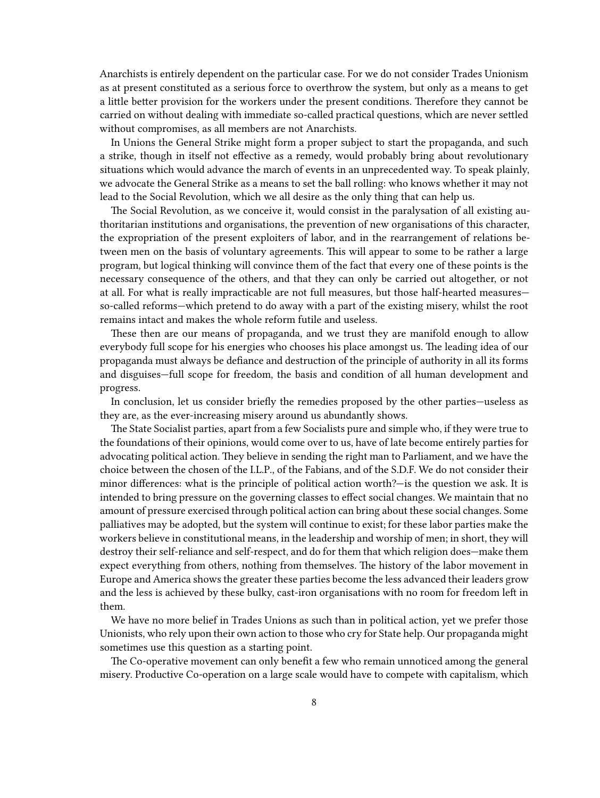Anarchists is entirely dependent on the particular case. For we do not consider Trades Unionism as at present constituted as a serious force to overthrow the system, but only as a means to get a little better provision for the workers under the present conditions. Therefore they cannot be carried on without dealing with immediate so-called practical questions, which are never settled without compromises, as all members are not Anarchists.

In Unions the General Strike might form a proper subject to start the propaganda, and such a strike, though in itself not effective as a remedy, would probably bring about revolutionary situations which would advance the march of events in an unprecedented way. To speak plainly, we advocate the General Strike as a means to set the ball rolling: who knows whether it may not lead to the Social Revolution, which we all desire as the only thing that can help us.

The Social Revolution, as we conceive it, would consist in the paralysation of all existing authoritarian institutions and organisations, the prevention of new organisations of this character, the expropriation of the present exploiters of labor, and in the rearrangement of relations between men on the basis of voluntary agreements. This will appear to some to be rather a large program, but logical thinking will convince them of the fact that every one of these points is the necessary consequence of the others, and that they can only be carried out altogether, or not at all. For what is really impracticable are not full measures, but those half‐hearted measures so-called reforms—which pretend to do away with a part of the existing misery, whilst the root remains intact and makes the whole reform futile and useless.

These then are our means of propaganda, and we trust they are manifold enough to allow everybody full scope for his energies who chooses his place amongst us. The leading idea of our propaganda must always be defiance and destruction of the principle of authority in all its forms and disguises—full scope for freedom, the basis and condition of all human development and progress.

In conclusion, let us consider briefly the remedies proposed by the other parties—useless as they are, as the ever‐increasing misery around us abundantly shows.

The State Socialist parties, apart from a few Socialists pure and simple who, if they were true to the foundations of their opinions, would come over to us, have of late become entirely parties for advocating political action. They believe in sending the right man to Parliament, and we have the choice between the chosen of the I.L.P., of the Fabians, and of the S.D.F. We do not consider their minor differences: what is the principle of political action worth?—is the question we ask. It is intended to bring pressure on the governing classes to effect social changes. We maintain that no amount of pressure exercised through political action can bring about these social changes. Some palliatives may be adopted, but the system will continue to exist; for these labor parties make the workers believe in constitutional means, in the leadership and worship of men; in short, they will destroy their self-reliance and self-respect, and do for them that which religion does—make them expect everything from others, nothing from themselves. The history of the labor movement in Europe and America shows the greater these parties become the less advanced their leaders grow and the less is achieved by these bulky, cast‐iron organisations with no room for freedom left in them.

We have no more belief in Trades Unions as such than in political action, yet we prefer those Unionists, who rely upon their own action to those who cry for State help. Our propaganda might sometimes use this question as a starting point.

The Co-operative movement can only benefit a few who remain unnoticed among the general misery. Productive Co-operation on a large scale would have to compete with capitalism, which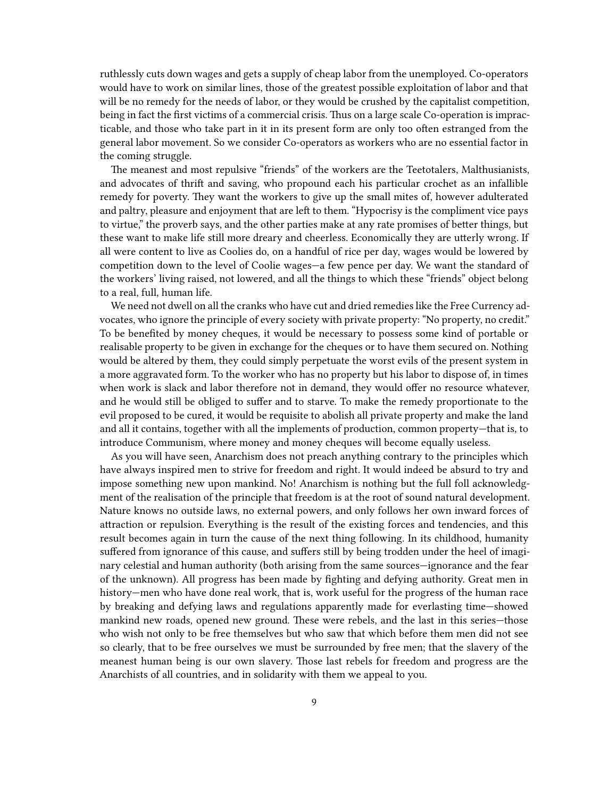ruthlessly cuts down wages and gets a supply of cheap labor from the unemployed. Co-operators would have to work on similar lines, those of the greatest possible exploitation of labor and that will be no remedy for the needs of labor, or they would be crushed by the capitalist competition, being in fact the first victims of a commercial crisis. Thus on a large scale Co-operation is impracticable, and those who take part in it in its present form are only too often estranged from the general labor movement. So we consider Co‐operators as workers who are no essential factor in the coming struggle.

The meanest and most repulsive "friends" of the workers are the Teetotalers, Malthusianists, and advocates of thrift and saving, who propound each his particular crochet as an infallible remedy for poverty. They want the workers to give up the small mites of, however adulterated and paltry, pleasure and enjoyment that are left to them. "Hypocrisy is the compliment vice pays to virtue," the proverb says, and the other parties make at any rate promises of better things, but these want to make life still more dreary and cheerless. Economically they are utterly wrong. If all were content to live as Coolies do, on a handful of rice per day, wages would be lowered by competition down to the level of Coolie wages—a few pence per day. We want the standard of the workers' living raised, not lowered, and all the things to which these "friends" object belong to a real, full, human life.

We need not dwell on all the cranks who have cut and dried remedies like the Free Currency advocates, who ignore the principle of every society with private property: "No property, no credit." To be benefited by money cheques, it would be necessary to possess some kind of portable or realisable property to be given in exchange for the cheques or to have them secured on. Nothing would be altered by them, they could simply perpetuate the worst evils of the present system in a more aggravated form. To the worker who has no property but his labor to dispose of, in times when work is slack and labor therefore not in demand, they would offer no resource whatever, and he would still be obliged to suffer and to starve. To make the remedy proportionate to the evil proposed to be cured, it would be requisite to abolish all private property and make the land and all it contains, together with all the implements of production, common property—that is, to introduce Communism, where money and money cheques will become equally useless.

As you will have seen, Anarchism does not preach anything contrary to the principles which have always inspired men to strive for freedom and right. It would indeed be absurd to try and impose something new upon mankind. No! Anarchism is nothing but the full foll acknowledgment of the realisation of the principle that freedom is at the root of sound natural development. Nature knows no outside laws, no external powers, and only follows her own inward forces of attraction or repulsion. Everything is the result of the existing forces and tendencies, and this result becomes again in turn the cause of the next thing following. In its childhood, humanity suffered from ignorance of this cause, and suffers still by being trodden under the heel of imaginary celestial and human authority (both arising from the same sources—ignorance and the fear of the unknown). All progress has been made by fighting and defying authority. Great men in history—men who have done real work, that is, work useful for the progress of the human race by breaking and defying laws and regulations apparently made for everlasting time—showed mankind new roads, opened new ground. These were rebels, and the last in this series—those who wish not only to be free themselves but who saw that which before them men did not see so clearly, that to be free ourselves we must be surrounded by free men; that the slavery of the meanest human being is our own slavery. Those last rebels for freedom and progress are the Anarchists of all countries, and in solidarity with them we appeal to you.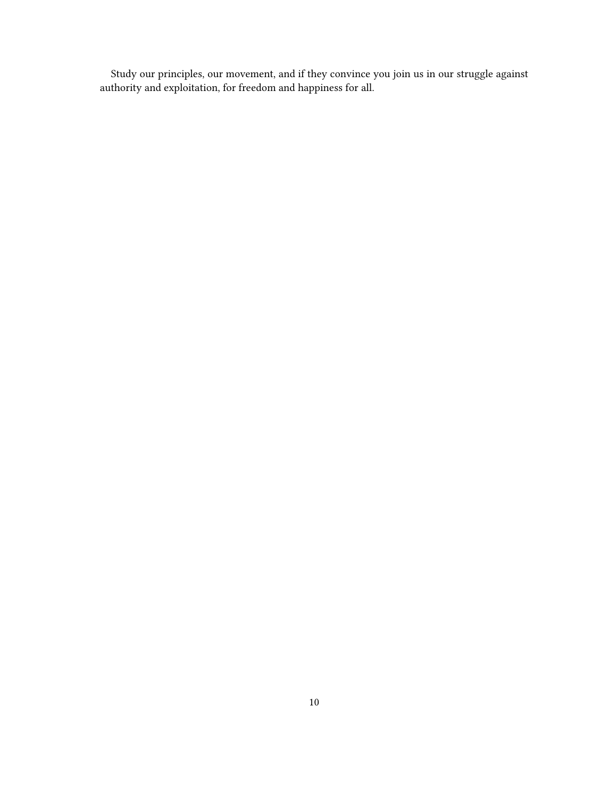Study our principles, our movement, and if they convince you join us in our struggle against authority and exploitation, for freedom and happiness for all.